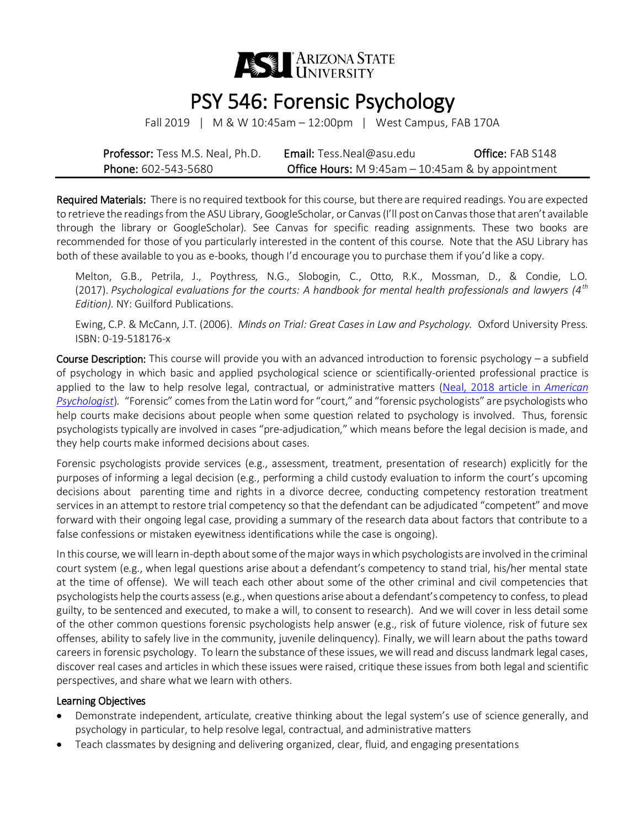

# PSY 546: Forensic Psychology

Fall 2019 | M & W 10:45am – 12:00pm | West Campus, FAB 170A

| <b>Professor:</b> Tess M.S. Neal, Ph.D. | <b>Email:</b> Tess.Neal@asu.edu                            | Office: FAB S148 |
|-----------------------------------------|------------------------------------------------------------|------------------|
| Phone: 602-543-5680                     | <b>Office Hours:</b> M 9:45am $-$ 10:45am & by appointment |                  |

Required Materials: There is no required textbook for this course, but there are required readings. You are expected to retrieve the readings from the ASU Library, GoogleScholar, or Canvas (I'll post on Canvas those that aren't available through the library or GoogleScholar). See Canvas for specific reading assignments. These two books are recommended for those of you particularly interested in the content of this course. Note that the ASU Library has both of these available to you as e-books, though I'd encourage you to purchase them if you'd like a copy.

Melton, G.B., Petrila, J., Poythress, N.G., Slobogin, C., Otto, R.K., Mossman, D., & Condie, L.O. (2017). *Psychological evaluations for the courts: A handbook for mental health professionals and lawyers (4th Edition)*. NY: Guilford Publications.

Ewing, C.P. & McCann, J.T. (2006). *Minds on Trial: Great Cases in Law and Psychology.* Oxford University Press. ISBN: 0-19-518176-x

**Course Description:** This course will provide you with an advanced introduction to forensic psychology – a subfield of psychology in which basic and applied psychological science or scientifically-oriented professional practice is applied to the law to help resolve legal, contractual, or administrative matters (Neal, 2018 article in *[American](https://psycnet.apa.org/record/2018-05574-001) [Psychologist](https://psycnet.apa.org/record/2018-05574-001)*). "Forensic" comes from the Latin word for "court," and "forensic psychologists" are psychologists who help courts make decisions about people when some question related to psychology is involved. Thus, forensic psychologists typically are involved in cases "pre-adjudication," which means before the legal decision is made, and they help courts make informed decisions about cases.

Forensic psychologists provide services (e.g., assessment, treatment, presentation of research) explicitly for the purposes of informing a legal decision (e.g., performing a child custody evaluation to inform the court's upcoming decisions about parenting time and rights in a divorce decree, conducting competency restoration treatment services in an attempt to restore trial competency so that the defendant can be adjudicated "competent" and move forward with their ongoing legal case, providing a summary of the research data about factors that contribute to a false confessions or mistaken eyewitness identifications while the case is ongoing).

In this course, we will learn in-depth about some of the major ways in which psychologists are involved in the criminal court system (e.g., when legal questions arise about a defendant's competency to stand trial, his/her mental state at the time of offense). We will teach each other about some of the other criminal and civil competencies that psychologists help the courts assess (e.g., when questions arise about a defendant's competency to confess, to plead guilty, to be sentenced and executed, to make a will, to consent to research). And we will cover in less detail some of the other common questions forensic psychologists help answer (e.g., risk of future violence, risk of future sex offenses, ability to safely live in the community, juvenile delinquency). Finally, we will learn about the paths toward careers in forensic psychology. To learn the substance of these issues, we will read and discuss landmark legal cases, discover real cases and articles in which these issues were raised, critique these issues from both legal and scientific perspectives, and share what we learn with others.

#### Learning Objectives

- Demonstrate independent, articulate, creative thinking about the legal system's use of science generally, and psychology in particular, to help resolve legal, contractual, and administrative matters
- Teach classmates by designing and delivering organized, clear, fluid, and engaging presentations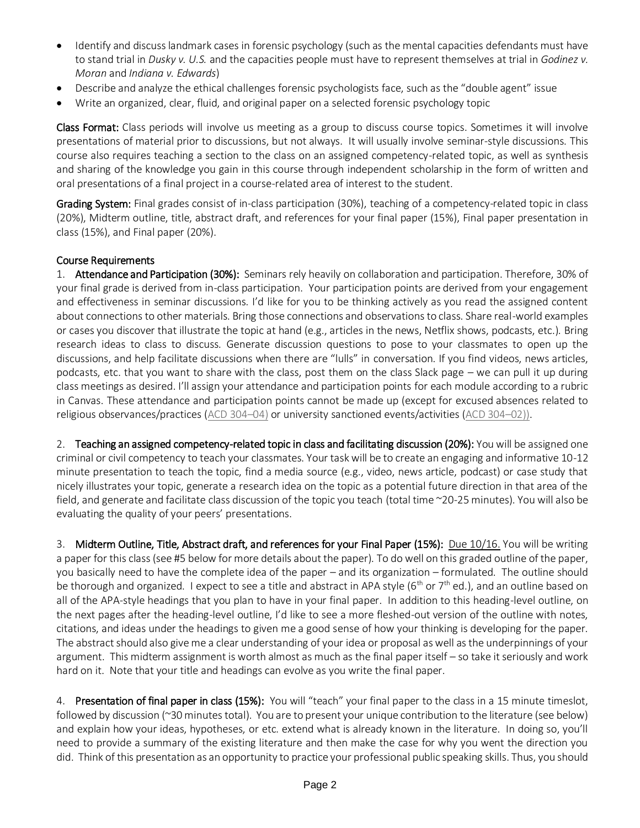- Identify and discuss landmark cases in forensic psychology (such as the mental capacities defendants must have to stand trial in *Dusky v. U.S.* and the capacities people must have to represent themselves at trial in *Godinez v. Moran* and *Indiana v. Edwards*)
- Describe and analyze the ethical challenges forensic psychologists face, such as the "double agent" issue
- Write an organized, clear, fluid, and original paper on a selected forensic psychology topic

Class Format: Class periods will involve us meeting as a group to discuss course topics. Sometimes it will involve presentations of material prior to discussions, but not always. It will usually involve seminar-style discussions. This course also requires teaching a section to the class on an assigned competency-related topic, as well as synthesis and sharing of the knowledge you gain in this course through independent scholarship in the form of written and oral presentations of a final project in a course-related area of interest to the student.

Grading System: Final grades consist of in-class participation (30%), teaching of a competency-related topic in class (20%), Midterm outline, title, abstract draft, and references for your final paper (15%), Final paper presentation in class (15%), and Final paper (20%).

#### Course Requirements

1. Attendance and Participation (30%): Seminars rely heavily on collaboration and participation. Therefore, 30% of your final grade is derived from in-class participation. Your participation points are derived from your engagement and effectiveness in seminar discussions. I'd like for you to be thinking actively as you read the assigned content about connections to other materials. Bring those connections and observations to class. Share real-world examples or cases you discover that illustrate the topic at hand (e.g., articles in the news, Netflix shows, podcasts, etc.). Bring research ideas to class to discuss. Generate discussion questions to pose to your classmates to open up the discussions, and help facilitate discussions when there are "lulls" in conversation. If you find videos, news articles, podcasts, etc. that you want to share with the class, post them on the class Slack page – we can pull it up during class meetings as desired. I'll assign your attendance and participation points for each module according to a rubric in Canvas. These attendance and participation points cannot be made up (except for excused absences related to religious observances/practices [\(ACD 304](http://www.asu.edu/aad/manuals/acd/acd304-04.html)–04) or university sanctioned events/activities [\(ACD 304](http://www.asu.edu/aad/manuals/acd/acd304-02.html)–02)).

2. Teaching an assigned competency-related topic in class and facilitating discussion (20%): You will be assigned one criminal or civil competency to teach your classmates. Your task will be to create an engaging and informative 10-12 minute presentation to teach the topic, find a media source (e.g., video, news article, podcast) or case study that nicely illustrates your topic, generate a research idea on the topic as a potential future direction in that area of the field, and generate and facilitate class discussion of the topic you teach (total time ~20-25 minutes). You will also be evaluating the quality of your peers' presentations.

3. Midterm Outline, Title, Abstract draft, and references for your Final Paper (15%): Due 10/16. You will be writing a paper for this class (see #5 below for more details about the paper). To do well on this graded outline of the paper, you basically need to have the complete idea of the paper – and its organization – formulated. The outline should be thorough and organized. I expect to see a title and abstract in APA style ( $6^{th}$  or  $7^{th}$  ed.), and an outline based on all of the APA-style headings that you plan to have in your final paper. In addition to this heading-level outline, on the next pages after the heading-level outline, I'd like to see a more fleshed-out version of the outline with notes, citations, and ideas under the headings to given me a good sense of how your thinking is developing for the paper. The abstract should also give me a clear understanding of your idea or proposal as well as the underpinnings of your argument. This midterm assignment is worth almost as much as the final paper itself – so take it seriously and work hard on it. Note that your title and headings can evolve as you write the final paper.

4. Presentation of final paper in class (15%): You will "teach" your final paper to the class in a 15 minute timeslot, followed by discussion (~30 minutes total). You are to present your unique contribution to the literature (see below) and explain how your ideas, hypotheses, or etc. extend what is already known in the literature. In doing so, you'll need to provide a summary of the existing literature and then make the case for why you went the direction you did. Think of this presentation as an opportunity to practice your professional public speaking skills. Thus, you should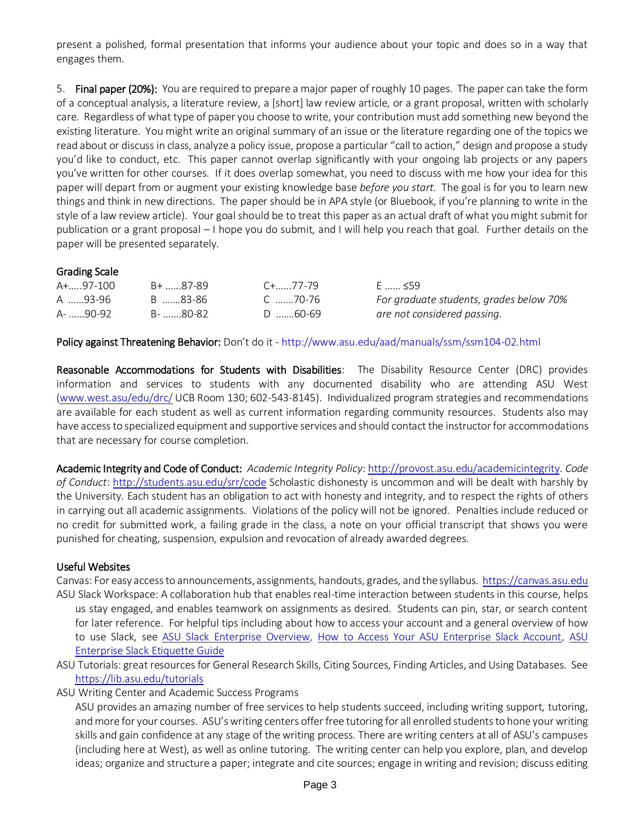present a polished, formal presentation that informs your audience about your topic and does so in a way that engages them.

5. Final paper (20%): You are required to prepare a major paper of roughly 10 pages. The paper can take the form of a conceptual analysis, a literature review, a [short] law review article, or a grant proposal, written with scholarly care. Regardless of what type of paper you choose to write, your contribution must add something new beyond the existing literature. You might write an original summary of an issue or the literature regarding one of the topics we read about or discuss in class, analyze a policy issue, propose a particular "call to action," design and propose a study you'd like to conduct, etc. This paper cannot overlap significantly with your ongoing lab projects or any papers you've written for other courses. If it does overlap somewhat, you need to discuss with me how your idea for this paper will depart from or augment your existing knowledge base *before you start*. The goal is for you to learn new things and think in new directions. The paper should be in APA style (or Bluebook, if you're planning to write in the style of a law review article). Your goal should be to treat this paper as an actual draft of what you might submit for publication or a grant proposal – I hope you do submit, and I will help you reach that goal. Further details on the paper will be presented separately.

## Grading Scale

| A+97-100 | B+ 87-89  | C+……77-79 | E  ≤59                                  |
|----------|-----------|-----------|-----------------------------------------|
| A 93-96  | В ……83-86 | C 70-76   | For graduate students, grades below 70% |
| A- 90-92 | В- 80-82  | D 60-69   | are not considered passing.             |

Policy against Threatening Behavior: Don't do it - <http://www.asu.edu/aad/manuals/ssm/ssm104-02.html>

Reasonable Accommodations for Students with Disabilities: The Disability Resource Center (DRC) provides information and services to students with any documented disability who are attending ASU West [\(www.west.asu/edu/drc/](http://www.west.asu/edu/drc/) UCB Room 130; 602-543-8145). Individualized program strategies and recommendations are available for each student as well as current information regarding community resources. Students also may have access to specialized equipment and supportive services and should contact the instructor for accommodations that are necessary for course completion.

Academic Integrity and Code of Conduct: *Academic Integrity Policy*: [http://provost.asu.edu/academicintegrity.](http://provost.asu.edu/academicintegrity) *Code of Conduct*:<http://students.asu.edu/srr/code> Scholastic dishonesty is uncommon and will be dealt with harshly by the University. Each student has an obligation to act with honesty and integrity, and to respect the rights of others in carrying out all academic assignments. Violations of the policy will not be ignored. Penalties include reduced or no credit for submitted work, a failing grade in the class, a note on your official transcript that shows you were punished for cheating, suspension, expulsion and revocation of already awarded degrees.

## Useful Websites

Canvas: For easy access to announcements, assignments, handouts, grades, and the syllabus. [https://canvas.asu.edu](https://canvas.asu.edu/) ASU Slack Workspace: A collaboration hub that enables real-time interaction between students in this course, helps us stay engaged, and enables teamwork on assignments as desired. Students can pin, star, or search content for later reference. For helpful tips including about how to access your account and a general overview of how to use Slack, see [ASU Slack Enterprise Overview,](https://asu.service-now.com/kb_view.do?sysparm_article=KB0017599) [How to Access Your ASU Enterprise Slack Account,](https://asu.service-now.com/kb_view.do?sysparm_article=KB0017600) [ASU](https://asu.service-now.com/kb_view.do?sysparm_article=KB0017605)  [Enterprise Slack Etiquette Guide](https://asu.service-now.com/kb_view.do?sysparm_article=KB0017605)

ASU Tutorials: great resources for General Research Skills, Citing Sources, Finding Articles, and Using Databases. See <https://lib.asu.edu/tutorials>

ASU Writing Center and Academic Success Programs

ASU provides an amazing number of free services to help students succeed, including writing support, tutoring, and more for your courses. ASU's writing centers offer free tutoring for all enrolled students to hone your writing skills and gain confidence at any stage of the writing process. There are writing centers at all of ASU's campuses (including here at West), as well as online tutoring. The writing center can help you explore, plan, and develop ideas; organize and structure a paper; integrate and cite sources; engage in writing and revision; discuss editing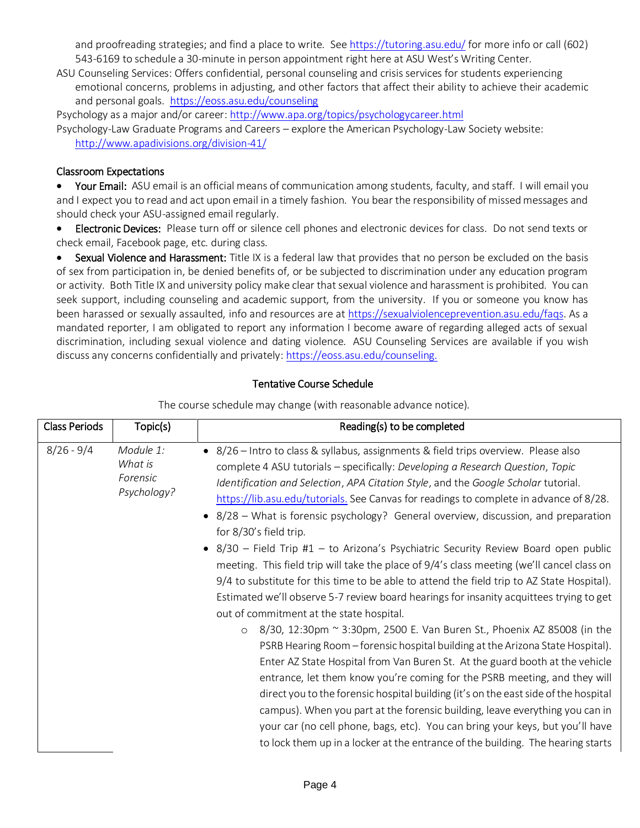and proofreading strategies; and find a place to write. Se[e https://tutoring.asu.edu/](https://tutoring.asu.edu/) for more info or call (602) 543-6169 to schedule a 30-minute in person appointment right here at ASU West's Writing Center.

ASU Counseling Services: Offers confidential, personal counseling and crisis services for students experiencing emotional concerns, problems in adjusting, and other factors that affect their ability to achieve their academic and personal goals.<https://eoss.asu.edu/counseling>

Psychology as a major and/or career:<http://www.apa.org/topics/psychologycareer.html> Psychology-Law Graduate Programs and Careers – explore the American Psychology-Law Society website: <http://www.apadivisions.org/division-41/>

### Classroom Expectations

Your Email: ASU email is an official means of communication among students, faculty, and staff. I will email you and I expect you to read and act upon email in a timely fashion. You bear the responsibility of missed messages and should check your ASU-assigned email regularly.

• Electronic Devices: Please turn off or silence cell phones and electronic devices for class. Do not send texts or check email, Facebook page, etc. during class.

Sexual Violence and Harassment: Title IX is a federal law that provides that no person be excluded on the basis of sex from participation in, be denied benefits of, or be subjected to discrimination under any education program or activity. Both Title IX and university policy make clear that sexual violence and harassment is prohibited. You can seek support, including counseling and academic support, from the university. If you or someone you know has been harassed or sexually assaulted, info and resources are a[t https://sexualviolenceprevention.asu.edu/faqs.](https://ex2010.asu.edu/owa/UrlBlockedError.aspx) As a mandated reporter, I am obligated to report any information I become aware of regarding alleged acts of sexual discrimination, including sexual violence and dating violence. ASU Counseling Services are available if you wish discuss any concerns confidentially and privately[: https://eoss.asu.edu/counseling.](https://ex2010.asu.edu/owa/redir.aspx?SURL=ZtsWTYpzMIKAOrlHjVi9WSEHzUw-g9u0AOZcjtBtGHumImQxdgLTCGgAdAB0AHAAcwA6AC8ALwBlAG8AcwBzAC4AYQBzAHUALgBlAGQAdQAvAGMAbwB1AG4AcwBlAGwAaQBuAGcA&URL=https%3a%2f%2feoss.asu.edu%2fcounseling)

#### Tentative Course Schedule

| <b>Class Periods</b> | Topic(s)                                        | Reading(s) to be completed                                                                                                                                                                                                                                                                                                                                                                                                                                                                                                                                                                                                                                                                                                                                                                                                                                                                                                                                                                                                                                                                                                                                                                                                                                                                                                                                                                                                                                                                                                                                                       |
|----------------------|-------------------------------------------------|----------------------------------------------------------------------------------------------------------------------------------------------------------------------------------------------------------------------------------------------------------------------------------------------------------------------------------------------------------------------------------------------------------------------------------------------------------------------------------------------------------------------------------------------------------------------------------------------------------------------------------------------------------------------------------------------------------------------------------------------------------------------------------------------------------------------------------------------------------------------------------------------------------------------------------------------------------------------------------------------------------------------------------------------------------------------------------------------------------------------------------------------------------------------------------------------------------------------------------------------------------------------------------------------------------------------------------------------------------------------------------------------------------------------------------------------------------------------------------------------------------------------------------------------------------------------------------|
| $8/26 - 9/4$         | Module 1:<br>What is<br>Forensic<br>Psychology? | • 8/26 - Intro to class & syllabus, assignments & field trips overview. Please also<br>complete 4 ASU tutorials - specifically: Developing a Research Question, Topic<br>Identification and Selection, APA Citation Style, and the Google Scholar tutorial.<br>https://lib.asu.edu/tutorials. See Canvas for readings to complete in advance of 8/28.<br>• 8/28 – What is forensic psychology? General overview, discussion, and preparation<br>for 8/30's field trip.<br>• 8/30 - Field Trip #1 - to Arizona's Psychiatric Security Review Board open public<br>meeting. This field trip will take the place of 9/4's class meeting (we'll cancel class on<br>9/4 to substitute for this time to be able to attend the field trip to AZ State Hospital).<br>Estimated we'll observe 5-7 review board hearings for insanity acquittees trying to get<br>out of commitment at the state hospital.<br>8/30, 12:30pm ~ 3:30pm, 2500 E. Van Buren St., Phoenix AZ 85008 (in the<br>$\circ$<br>PSRB Hearing Room – forensic hospital building at the Arizona State Hospital).<br>Enter AZ State Hospital from Van Buren St. At the guard booth at the vehicle<br>entrance, let them know you're coming for the PSRB meeting, and they will<br>direct you to the forensic hospital building (it's on the east side of the hospital<br>campus). When you part at the forensic building, leave everything you can in<br>your car (no cell phone, bags, etc). You can bring your keys, but you'll have<br>to lock them up in a locker at the entrance of the building. The hearing starts |

The course schedule may change (with reasonable advance notice).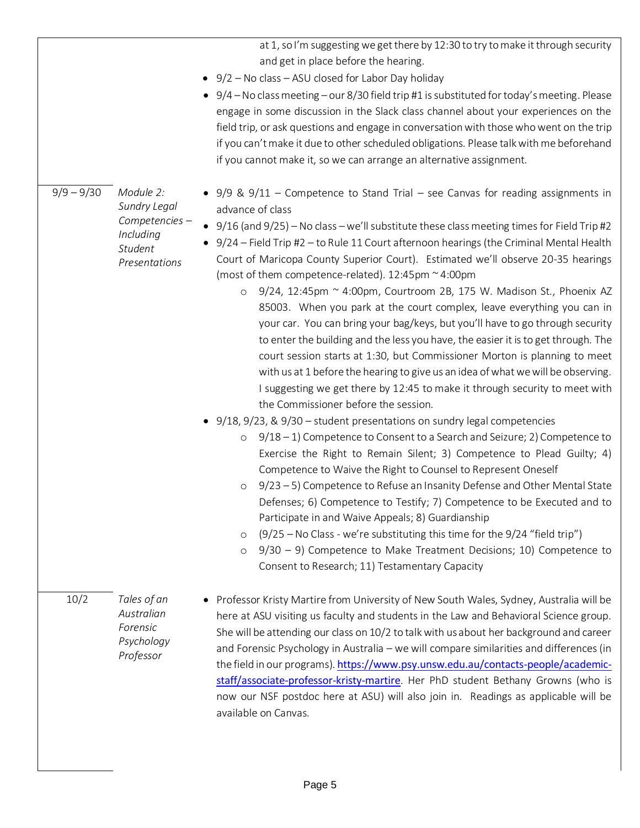at 1, so I'm suggesting we get there by 12:30 to try to make it through security and get in place before the hearing.

- 9/2 No class ASU closed for Labor Day holiday
- $9/4$  No class meeting our 8/30 field trip #1 is substituted for today's meeting. Please engage in some discussion in the Slack class channel about your experiences on the field trip, or ask questions and engage in conversation with those who went on the trip if you can't make it due to other scheduled obligations. Please talk with me beforehand if you cannot make it, so we can arrange an alternative assignment.

9/9 – 9/30 *Module 2: Sundry Legal Competencies – Including Student Presentations*

- 9/9 & 9/11 Competence to Stand Trial see Canvas for reading assignments in advance of class
- 9/16 (and  $9/25$ ) No class we'll substitute these class meeting times for Field Trip #2
- 9/24 Field Trip #2 to Rule 11 Court afternoon hearings (the Criminal Mental Health Court of Maricopa County Superior Court). Estimated we'll observe 20-35 hearings (most of them competence-related). 12:45pm ~ 4:00pm
	- o 9/24, 12:45pm ~ 4:00pm, Courtroom 2B, 175 W. Madison St., Phoenix AZ 85003. When you park at the court complex, leave everything you can in your car. You can bring your bag/keys, but you'll have to go through security to enter the building and the less you have, the easier it is to get through. The court session starts at 1:30, but Commissioner Morton is planning to meet with us at 1 before the hearing to give us an idea of what we will be observing. I suggesting we get there by 12:45 to make it through security to meet with the Commissioner before the session.
- 9/18, 9/23, & 9/30 student presentations on sundry legal competencies
	- $\degree$  9/18 1) Competence to Consent to a Search and Seizure; 2) Competence to Exercise the Right to Remain Silent; 3) Competence to Plead Guilty; 4) Competence to Waive the Right to Counsel to Represent Oneself
	- o 9/23 5) Competence to Refuse an Insanity Defense and Other Mental State Defenses; 6) Competence to Testify; 7) Competence to be Executed and to Participate in and Waive Appeals; 8) Guardianship
	- $\circ$  (9/25 No Class we're substituting this time for the 9/24 "field trip")
	- o 9/30 9) Competence to Make Treatment Decisions; 10) Competence to Consent to Research; 11) Testamentary Capacity

10/2 *Tales of an Australian Forensic Psychology Professor* • Professor Kristy Martire from University of New South Wales, Sydney, Australia will be here at ASU visiting us faculty and students in the Law and Behavioral Science group. She will be attending our class on 10/2 to talk with us about her background and career and Forensic Psychology in Australia – we will compare similarities and differences (in the field in our programs). [https://www.psy.unsw.edu.au/contacts-people/academic](https://www.psy.unsw.edu.au/contacts-people/academic-staff/associate-professor-kristy-martire)[staff/associate-professor-kristy-martire](https://www.psy.unsw.edu.au/contacts-people/academic-staff/associate-professor-kristy-martire). Her PhD student Bethany Growns (who is now our NSF postdoc here at ASU) will also join in. Readings as applicable will be available on Canvas.